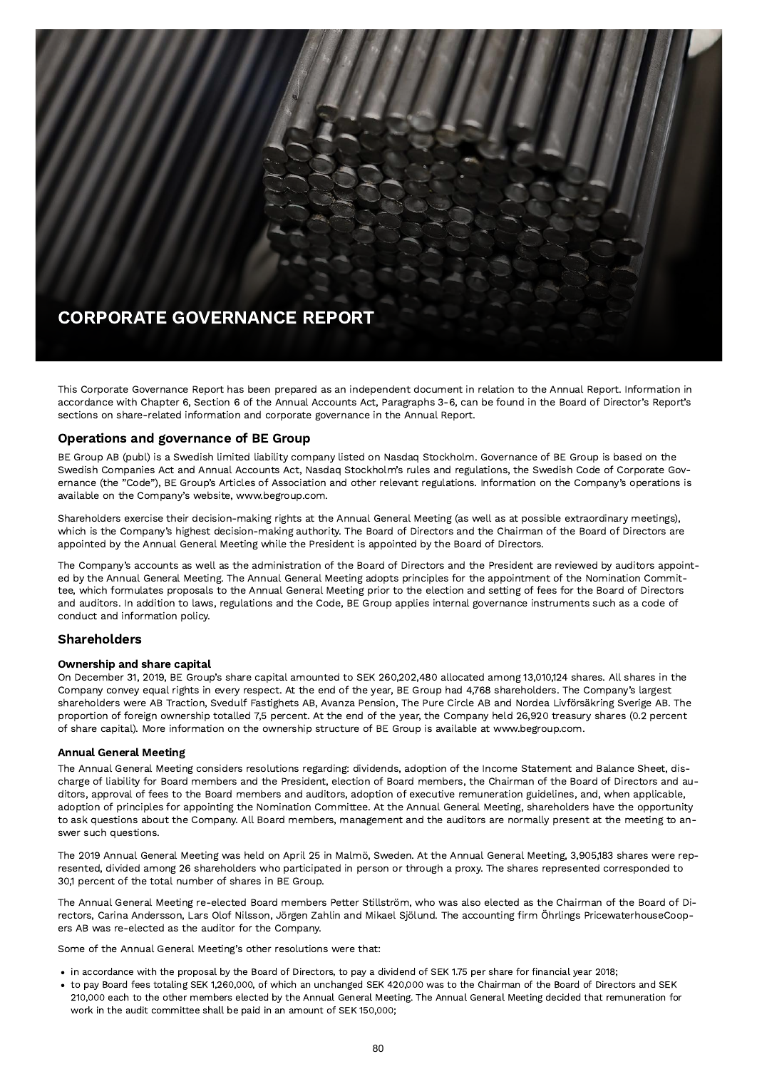

This Corporate Governance Report has been prepared as an independent document in relation to the Annual Report. Information in accordance with Chapter 6, Section 6 of the Annual Accounts Act, Paragraphs 3-6, can be found in the Board of Director's Report's sections on share-related information and corporate governance in the Annual Report.

# Operations and governance of BE Group

BE Group AB (publ) is a Swedish limited liability company listed on Nasdaq Stockholm. Governance of BE Group is based on the Swedish Companies Act and Annual Accounts Act, Nasdaq Stockholm's rules and regulations, the Swedish Code of Corporate Governance (the "Code"), BE Group's Articles of Association and other relevant regulations. Information on the Company's operations is available on the Company's website, www.begroup.com.

Shareholders exercise their decision-making rights at the Annual General Meeting (as well as at possible extraordinary meetings), which is the Company's highest decision-making authority. The Board of Directors and the Chairman of the Board of Directors are appointed by the Annual General Meeting while the President is appointed by the Board of Directors.

The Company's accounts as well as the administration of the Board of Directors and the President are reviewed by auditors appointed by the Annual General Meeting. The Annual General Meeting adopts principles for the appointment of the Nomination Committee, which formulates proposals to the Annual General Meeting prior to the election and setting of fees for the Board of Directors and auditors. In addition to laws, regulations and the Code, BE Group applies internal governance instruments such as a code of conduct and information policy.

# Shareholders

#### Ownership and share capital

On December 31, 2019, BE Group's share capital amounted to SEK 260,202,480 allocated among 13,010,124 shares. All shares in the Company convey equal rights in every respect. At the end of the year, BE Group had 4,768 shareholders. The Company's largest shareholders were AB Traction, Svedulf Fastighets AB, Avanza Pension, The Pure Circle AB and Nordea Livförsäkring Sverige AB. The proportion of foreign ownership totalled 7,5 percent. At the end of the year, the Company held 26,920 treasury shares (0.2 percent of share capital). More information on the ownership structure of BE Group is available at www.begroup.com.

# Annual General Meeting

The Annual General Meeting considers resolutions regarding: dividends, adoption of the Income Statement and Balance Sheet, discharge of liability for Board members and the President, election of Board members, the Chairman of the Board of Directors and auditors, approval of fees to the Board members and auditors, adoption of executive remuneration guidelines, and, when applicable, adoption of principles for appointing the Nomination Committee. At the Annual General Meeting, shareholders have the opportunity to ask questions about the Company. All Board members, management and the auditors are normally present at the meeting to answer such questions.

The 2019 Annual General Meeting was held on April 25 in Malmö, Sweden. At the Annual General Meeting, 3,905,183 shares were represented, divided among 26 shareholders who participated in person or through a proxy. The shares represented corresponded to 30,1 percent of the total number of shares in BE Group.

The Annual General Meeting re-elected Board members Petter Stillström, who was also elected as the Chairman of the Board of Directors, Carina Andersson, Lars Olof Nilsson, Jörgen Zahlin and Mikael Sjölund. The accounting firm Öhrlings PricewaterhouseCoopers AB was re-elected as the auditor for the Company.

Some of the Annual General Meeting's other resolutions were that:

- in accordance with the proposal by the Board of Directors, to pay a dividend of SEK 1.75 per share for financial year 2018;
- to pay Board fees totaling SEK 1,260,000, of which an unchanged SEK 420,000 was to the Chairman of the Board of Directors and SEK 210,000 each to the other members elected by the Annual General Meeting. The Annual General Meeting decided that remuneration for work in the audit committee shall be paid in an amount of SEK 150,000;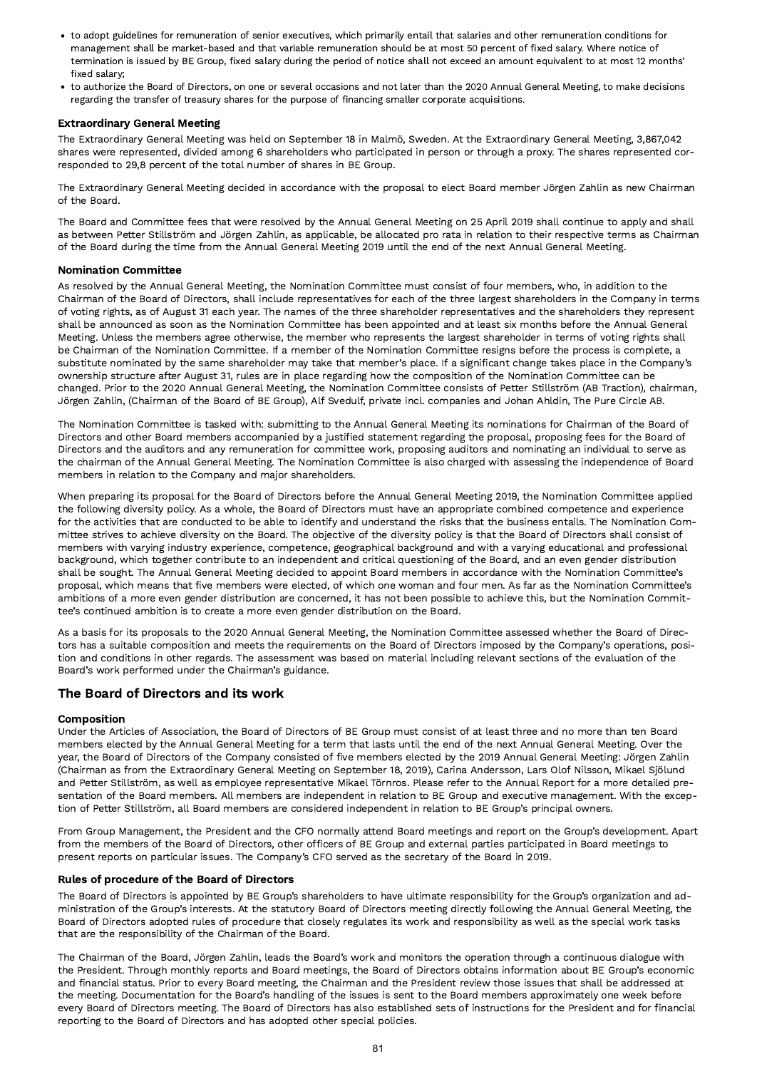- to adopt guidelines for remuneration of senior executives, which primarily entail that salaries and other remuneration conditions for management shall be market-based and that variable remuneration should be at most 50 percent of fixed salary. Where notice of termination is issued by BE Group, fixed salary during the period of notice shall not exceed an amount equivalent to at most 12 months' fixed salary;
- to authorize the Board of Directors, on one or several occasions and not later than the 2020 Annual General Meeting, to make decisions regarding the transfer of treasury shares for the purpose of financing smaller corporate acquisitions.

# Extraordinary General Meeting

The Extraordinary General Meeting was held on September 18 in Malmö, Sweden. At the Extraordinary General Meeting, 3,867,042 shares were represented, divided among 6 shareholders who participated in person or through a proxy. The shares represented corresponded to 29,8 percent of the total number of shares in BE Group.

The Extraordinary General Meeting decided in accordance with the proposal to elect Board member Jörgen Zahlin as new Chairman of the Board.

The Board and Committee fees that were resolved by the Annual General Meeting on 25 April 2019 shall continue to apply and shall as between Petter Stillström and Jörgen Zahlin, as applicable, be allocated pro rata in relation to their respective terms as Chairman of the Board during the time from the Annual General Meeting 2019 until the end of the next Annual General Meeting.

#### Nomination Committee

As resolved by the Annual General Meeting, the Nomination Committee must consist of four members, who, in addition to the Chairman of the Board of Directors, shall include representatives for each of the three largest shareholders in the Company in terms of voting rights, as of August 31 each year. The names of the three shareholder representatives and the shareholders they represent shall be announced as soon as the Nomination Committee has been appointed and at least six months before the Annual General Meeting. Unless the members agree otherwise, the member who represents the largest shareholder in terms of voting rights shall be Chairman of the Nomination Committee. If a member of the Nomination Committee resigns before the process is complete, a substitute nominated by the same shareholder may take that member's place. If a significant change takes place in the Company's ownership structure after August 31, rules are in place regarding how the composition of the Nomination Committee can be changed. Prior to the 2020 Annual General Meeting, the Nomination Committee consists of Petter Stillström (AB Traction), chairman, Jörgen Zahlin, (Chairman of the Board of BE Group), Alf Svedulf, private incl. companies and Johan Ahldin, The Pure Circle AB.

The Nomination Committee is tasked with: submitting to the Annual General Meeting its nominations for Chairman of the Board of Directors and other Board members accompanied by a justified statement regarding the proposal, proposing fees for the Board of Directors and the auditors and any remuneration for committee work, proposing auditors and nominating an individual to serve as the chairman of the Annual General Meeting. The Nomination Committee is also charged with assessing the independence of Board members in relation to the Company and major shareholders.

When preparing its proposal for the Board of Directors before the Annual General Meeting 2019, the Nomination Committee applied the following diversity policy. As a whole, the Board of Directors must have an appropriate combined competence and experience for the activities that are conducted to be able to identify and understand the risks that the business entails. The Nomination Committee strives to achieve diversity on the Board. The objective of the diversity policy is that the Board of Directors shall consist of members with varying industry experience, competence, geographical background and with a varying educational and professional background, which together contribute to an independent and critical questioning of the Board, and an even gender distribution shall be sought. The Annual General Meeting decided to appoint Board members in accordance with the Nomination Committee's proposal, which means that five members were elected, of which one woman and four men. As far as the Nomination Committee's ambitions of a more even gender distribution are concerned, it has not been possible to achieve this, but the Nomination Committee's continued ambition is to create a more even gender distribution on the Board.

As a basis for its proposals to the 2020 Annual General Meeting, the Nomination Committee assessed whether the Board of Directors has a suitable composition and meets the requirements on the Board of Directors imposed by the Company's operations, position and conditions in other regards. The assessment was based on material including relevant sections of the evaluation of the Board's work performed under the Chairman's guidance.

# The Board of Directors and its work

# Composition

Under the Articles of Association, the Board of Directors of BE Group must consist of at least three and no more than ten Board members elected by the Annual General Meeting for a term that lasts until the end of the next Annual General Meeting. Over the year, the Board of Directors of the Company consisted of five members elected by the 2019 Annual General Meeting: Jörgen Zahlin (Chairman as from the Extraordinary General Meeting on September 18, 2019), Carina Andersson, Lars Olof Nilsson, Mikael Sjölund and Petter Stillström, as well as employee representative Mikael Törnros. Please refer to the Annual Report for a more detailed presentation of the Board members. All members are independent in relation to BE Group and executive management. With the exception of Petter Stillström, all Board members are considered independent in relation to BE Group's principal owners.

From Group Management, the President and the CFO normally attend Board meetings and report on the Group's development. Apart from the members of the Board of Directors, other officers of BE Group and external parties participated in Board meetings to present reports on particular issues. The Company's CFO served as the secretary of the Board in 2019.

#### Rules of procedure of the Board of Directors

The Board of Directors is appointed by BE Group's shareholders to have ultimate responsibility for the Group's organization and administration of the Group's interests. At the statutory Board of Directors meeting directly following the Annual General Meeting, the Board of Directors adopted rules of procedure that closely regulates its work and responsibility as well as the special work tasks that are the responsibility of the Chairman of the Board.

The Chairman of the Board, Jörgen Zahlin, leads the Board's work and monitors the operation through a continuous dialogue with the President. Through monthly reports and Board meetings, the Board of Directors obtains information about BE Group's economic and financial status. Prior to every Board meeting, the Chairman and the President review those issues that shall be addressed at the meeting. Documentation for the Board's handling of the issues is sent to the Board members approximately one week before every Board of Directors meeting. The Board of Directors has also established sets of instructions for the President and for financial reporting to the Board of Directors and has adopted other special policies.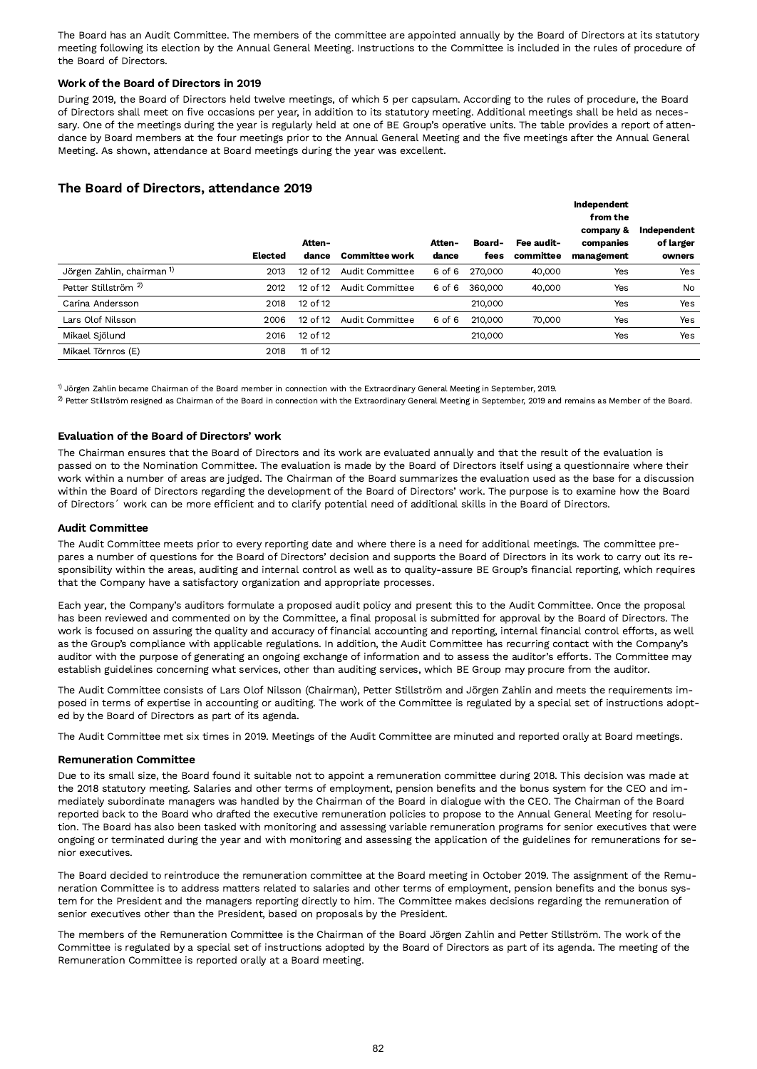The Board has an Audit Committee. The members of the committee are appointed annually by the Board of Directors at its statutory meeting following its election by the Annual General Meeting. Instructions to the Committee is included in the rules of procedure of the Board of Directors.

# Work of the Board of Directors in 2019

During 2019, the Board of Directors held twelve meetings, of which 5 per capsulam. According to the rules of procedure, the Board of Directors shall meet on five occasions per year, in addition to its statutory meeting. Additional meetings shall be held as necessary. One of the meetings during the year is regularly held at one of BE Group's operative units. The table provides a report of attendance by Board members at the four meetings prior to the Annual General Meeting and the five meetings after the Annual General Meeting. As shown, attendance at Board meetings during the year was excellent.

# The Board of Directors, attendance 2019

|                                       |         |              |                       |        |         |            | Independent<br>from the |             |
|---------------------------------------|---------|--------------|-----------------------|--------|---------|------------|-------------------------|-------------|
|                                       |         |              |                       |        |         |            | company &               | Independent |
|                                       |         | Atten-       |                       | Atten- | Board-  | Fee audit- | companies               | of larger   |
|                                       | Elected | dance        | <b>Committee work</b> | dance  | fees    | committee  | management              | owners      |
| Jörgen Zahlin, chairman <sup>1)</sup> | 2013    | $12$ of $12$ | Audit Committee       | 6 of 6 | 270,000 | 40,000     | Yes                     | Yes         |
| Petter Stillström <sup>2)</sup>       | 2012    | 12 of 12     | Audit Committee       | 6 of 6 | 360,000 | 40,000     | Yes                     | No          |
| Carina Andersson                      | 2018    | 12 of 12     |                       |        | 210,000 |            | Yes                     | Yes         |
| Lars Olof Nilsson                     | 2006    | 12 of 12     | Audit Committee       | 6 of 6 | 210,000 | 70,000     | Yes                     | <b>Yes</b>  |
| Mikael Sjölund                        | 2016    | 12 of 12     |                       |        | 210,000 |            | Yes                     | <b>Yes</b>  |
| Mikael Törnros (E)                    | 2018    | 11 of 12     |                       |        |         |            |                         |             |

 $^{\rm 0}$  Jörgen Zahlin became Chairman of the Board member in connection with the Extraordinary General Meeting in September, 2019.

 $^{2)}$  Petter Stillström resigned as Chairman of the Board in connection with the Extraordinary General Meeting in September, 2019 and remains as Member of the Board.

# Evaluation of the Board of Directors' work

The Chairman ensures that the Board of Directors and its work are evaluated annually and that the result of the evaluation is passed on to the Nomination Committee. The evaluation is made by the Board of Directors itself using a questionnaire where their work within a number of areas are judged. The Chairman of the Board summarizes the evaluation used as the base for a discussion within the Board of Directors regarding the development of the Board of Directors' work. The purpose is to examine how the Board of Directors´ work can be more efficient and to clarify potential need of additional skills in the Board of Directors.

#### Audit Committee

The Audit Committee meets prior to every reporting date and where there is a need for additional meetings. The committee prepares a number of questions for the Board of Directors' decision and supports the Board of Directors in its work to carry out its responsibility within the areas, auditing and internal control as well as to quality-assure BE Group's financial reporting, which requires that the Company have a satisfactory organization and appropriate processes.

Each year, the Company's auditors formulate a proposed audit policy and present this to the Audit Committee. Once the proposal has been reviewed and commented on by the Committee, a final proposal is submitted for approval by the Board of Directors. The work is focused on assuring the quality and accuracy of financial accounting and reporting, internal financial control efforts, as well as the Group's compliance with applicable regulations. In addition, the Audit Committee has recurring contact with the Company's auditor with the purpose of generating an ongoing exchange of information and to assess the auditor's efforts. The Committee may establish guidelines concerning what services, other than auditing services, which BE Group may procure from the auditor.

The Audit Committee consists of Lars Olof Nilsson (Chairman), Petter Stillström and Jörgen Zahlin and meets the requirements imposed in terms of expertise in accounting or auditing. The work of the Committee is regulated by a special set of instructions adopted by the Board of Directors as part of its agenda.

The Audit Committee met six times in 2019. Meetings of the Audit Committee are minuted and reported orally at Board meetings.

# Remuneration Committee

Due to its small size, the Board found it suitable not to appoint a remuneration committee during 2018. This decision was made at the 2018 statutory meeting. Salaries and other terms of employment, pension benefits and the bonus system for the CEO and immediately subordinate managers was handled by the Chairman of the Board in dialogue with the CEO. The Chairman of the Board reported back to the Board who drafted the executive remuneration policies to propose to the Annual General Meeting for resolution. The Board has also been tasked with monitoring and assessing variable remuneration programs for senior executives that were ongoing or terminated during the year and with monitoring and assessing the application of the guidelines for remunerations for senior executives.

The Board decided to reintroduce the remuneration committee at the Board meeting in October 2019. The assignment of the Remuneration Committee is to address matters related to salaries and other terms of employment, pension benefits and the bonus system for the President and the managers reporting directly to him. The Committee makes decisions regarding the remuneration of senior executives other than the President, based on proposals by the President.

The members of the Remuneration Committee is the Chairman of the Board Jörgen Zahlin and Petter Stillström. The work of the Committee is regulated by a special set of instructions adopted by the Board of Directors as part of its agenda. The meeting of the Remuneration Committee is reported orally at a Board meeting.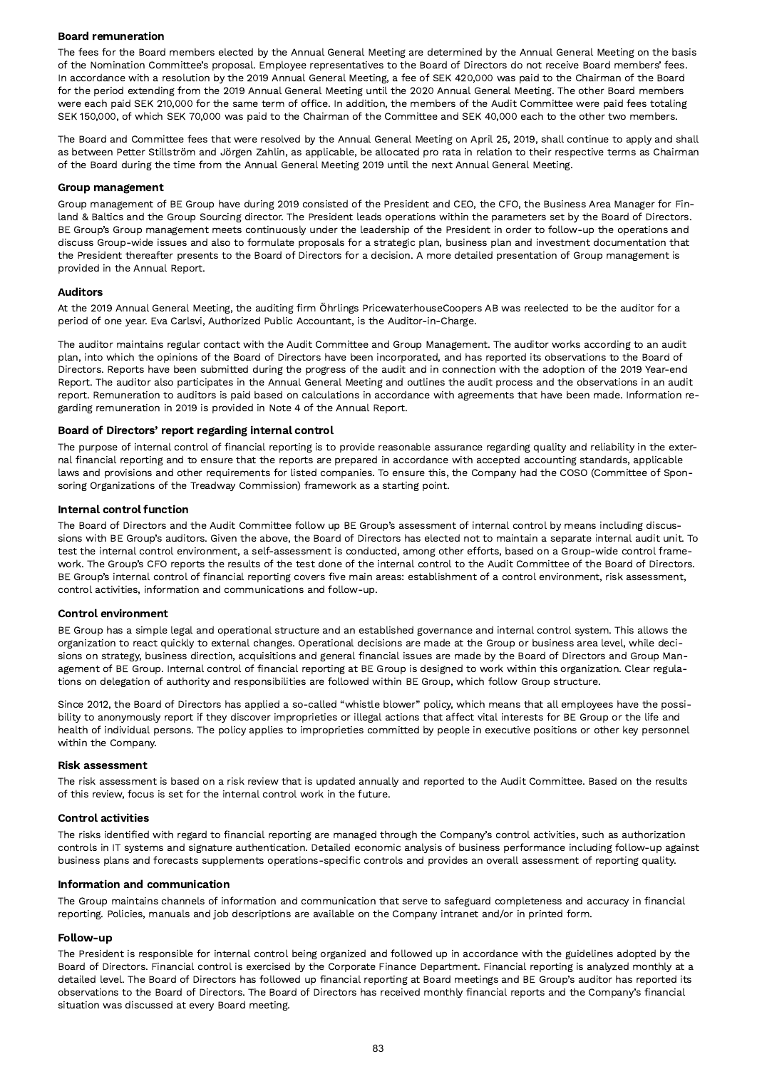# Board remuneration

The fees for the Board members elected by the Annual General Meeting are determined by the Annual General Meeting on the basis of the Nomination Committee's proposal. Employee representatives to the Board of Directors do not receive Board members' fees. In accordance with a resolution by the 2019 Annual General Meeting, a fee of SEK 420,000 was paid to the Chairman of the Board for the period extending from the 2019 Annual General Meeting until the 2020 Annual General Meeting. The other Board members were each paid SEK 210,000 for the same term of office. In addition, the members of the Audit Committee were paid fees totaling SEK 150,000, of which SEK 70,000 was paid to the Chairman of the Committee and SEK 40,000 each to the other two members.

The Board and Committee fees that were resolved by the Annual General Meeting on April 25, 2019, shall continue to apply and shall as between Petter Stillström and Jörgen Zahlin, as applicable, be allocated pro rata in relation to their respective terms as Chairman of the Board during the time from the Annual General Meeting 2019 until the next Annual General Meeting.

#### Group management

Group management of BE Group have during 2019 consisted of the President and CEO, the CFO, the Business Area Manager for Finland & Baltics and the Group Sourcing director. The President leads operations within the parameters set by the Board of Directors. BE Group's Group management meets continuously under the leadership of the President in order to follow-up the operations and discuss Group-wide issues and also to formulate proposals for a strategic plan, business plan and investment documentation that the President thereafter presents to the Board of Directors for a decision. A more detailed presentation of Group management is provided in the Annual Report.

#### Auditors

At the 2019 Annual General Meeting, the auditing firm Öhrlings PricewaterhouseCoopers AB was reelected to be the auditor for a period of one year. Eva Carlsvi, Authorized Public Accountant, is the Auditor-in-Charge.

The auditor maintains regular contact with the Audit Committee and Group Management. The auditor works according to an audit plan, into which the opinions of the Board of Directors have been incorporated, and has reported its observations to the Board of Directors. Reports have been submitted during the progress of the audit and in connection with the adoption of the 2019 Year-end Report. The auditor also participates in the Annual General Meeting and outlines the audit process and the observations in an audit report. Remuneration to auditors is paid based on calculations in accordance with agreements that have been made. Information regarding remuneration in 2019 is provided in Note 4 of the Annual Report.

#### Board of Directors' report regarding internal control

The purpose of internal control of financial reporting is to provide reasonable assurance regarding quality and reliability in the external financial reporting and to ensure that the reports are prepared in accordance with accepted accounting standards, applicable laws and provisions and other requirements for listed companies. To ensure this, the Company had the COSO (Committee of Sponsoring Organizations of the Treadway Commission) framework as a starting point.

#### Internal control function

The Board of Directors and the Audit Committee follow up BE Group's assessment of internal control by means including discussions with BE Group's auditors. Given the above, the Board of Directors has elected not to maintain a separate internal audit unit. To test the internal control environment, a self-assessment is conducted, among other efforts, based on a Group-wide control framework. The Group's CFO reports the results of the test done of the internal control to the Audit Committee of the Board of Directors. BE Group's internal control of financial reporting covers five main areas: establishment of a control environment, risk assessment, control activities, information and communications and follow-up.

#### Control environment

BE Group has a simple legal and operational structure and an established governance and internal control system. This allows the organization to react quickly to external changes. Operational decisions are made at the Group or business area level, while decisions on strategy, business direction, acquisitions and general financial issues are made by the Board of Directors and Group Management of BE Group. Internal control of financial reporting at BE Group is designed to work within this organization. Clear regulations on delegation of authority and responsibilities are followed within BE Group, which follow Group structure.

Since 2012, the Board of Directors has applied a so-called "whistle blower" policy, which means that all employees have the possibility to anonymously report if they discover improprieties or illegal actions that affect vital interests for BE Group or the life and health of individual persons. The policy applies to improprieties committed by people in executive positions or other key personnel within the Company.

#### Risk assessment

The risk assessment is based on a risk review that is updated annually and reported to the Audit Committee. Based on the results of this review, focus is set for the internal control work in the future.

#### Control activities

The risks identified with regard to financial reporting are managed through the Company's control activities, such as authorization controls in IT systems and signature authentication. Detailed economic analysis of business performance including follow-up against business plans and forecasts supplements operations-specific controls and provides an overall assessment of reporting quality.

#### Information and communication

The Group maintains channels of information and communication that serve to safeguard completeness and accuracy in financial reporting. Policies, manuals and job descriptions are available on the Company intranet and/or in printed form.

#### Follow-up

The President is responsible for internal control being organized and followed up in accordance with the guidelines adopted by the Board of Directors. Financial control is exercised by the Corporate Finance Department. Financial reporting is analyzed monthly at a detailed level. The Board of Directors has followed up financial reporting at Board meetings and BE Group's auditor has reported its observations to the Board of Directors. The Board of Directors has received monthly financial reports and the Company's financial situation was discussed at every Board meeting.